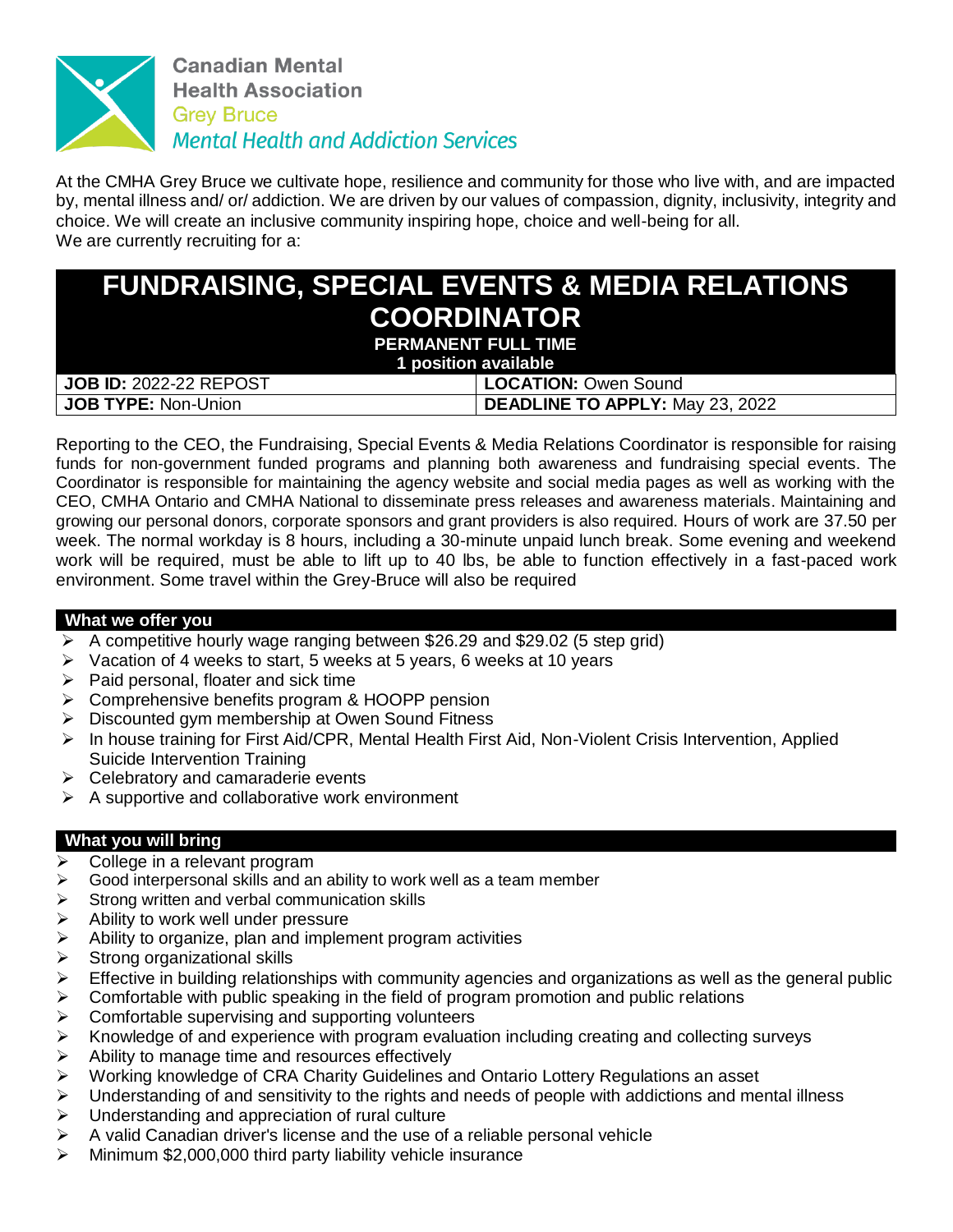

At the CMHA Grey Bruce we cultivate hope, resilience and community for those who live with, and are impacted by, mental illness and/ or/ addiction. We are driven by our values of compassion, dignity, inclusivity, integrity and choice. We will create an inclusive community inspiring hope, choice and well-being for all. We are currently recruiting for a:

| <b>FUNDRAISING, SPECIAL EVENTS &amp; MEDIA RELATIONS</b> |                                        |
|----------------------------------------------------------|----------------------------------------|
| <b>COORDINATOR</b>                                       |                                        |
| <b>PERMANENT FULL TIME</b><br>1 position available       |                                        |
| <b>JOB ID: 2022-22 REPOST</b>                            | <b>LOCATION: Owen Sound</b>            |
| <b>JOB TYPE: Non-Union</b>                               | <b>DEADLINE TO APPLY: May 23, 2022</b> |

Reporting to the CEO, the Fundraising, Special Events & Media Relations Coordinator is responsible for raising funds for non-government funded programs and planning both awareness and fundraising special events. The Coordinator is responsible for maintaining the agency website and social media pages as well as working with the CEO, CMHA Ontario and CMHA National to disseminate press releases and awareness materials. Maintaining and growing our personal donors, corporate sponsors and grant providers is also required. Hours of work are 37.50 per week. The normal workday is 8 hours, including a 30-minute unpaid lunch break. Some evening and weekend work will be required, must be able to lift up to 40 lbs, be able to function effectively in a fast-paced work environment. Some travel within the Grey-Bruce will also be required

## **What we offer you**

- A competitive hourly wage ranging between \$26.29 and \$29.02 (5 step grid)
- $\triangleright$  Vacation of 4 weeks to start, 5 weeks at 5 years, 6 weeks at 10 years
- $\triangleright$  Paid personal, floater and sick time
- $\triangleright$  Comprehensive benefits program & HOOPP pension
- $\triangleright$  Discounted gym membership at Owen Sound Fitness
- $\triangleright$  In house training for First Aid/CPR, Mental Health First Aid, Non-Violent Crisis Intervention, Applied Suicide Intervention Training
- $\triangleright$  Celebratory and camaraderie events
- $\triangleright$  A supportive and collaborative work environment

## **What you will bring**

- $\triangleright$  College in a relevant program
- $\triangleright$  Good interpersonal skills and an ability to work well as a team member
- $\triangleright$  Strong written and verbal communication skills
- $\triangleright$  Ability to work well under pressure
- $\triangleright$  Ability to organize, plan and implement program activities
- $\triangleright$  Strong organizational skills
- $\triangleright$  Effective in building relationships with community agencies and organizations as well as the general public
- $\triangleright$  Comfortable with public speaking in the field of program promotion and public relations
- $\triangleright$  Comfortable supervising and supporting volunteers
- $\triangleright$  Knowledge of and experience with program evaluation including creating and collecting surveys
- $\triangleright$  Ability to manage time and resources effectively
- Working knowledge of CRA Charity Guidelines and Ontario Lottery Regulations an asset
- $\triangleright$  Understanding of and sensitivity to the rights and needs of people with addictions and mental illness
- $\triangleright$  Understanding and appreciation of rural culture
- $\triangleright$  A valid Canadian driver's license and the use of a reliable personal vehicle
- Minimum \$2,000,000 third party liability vehicle insurance